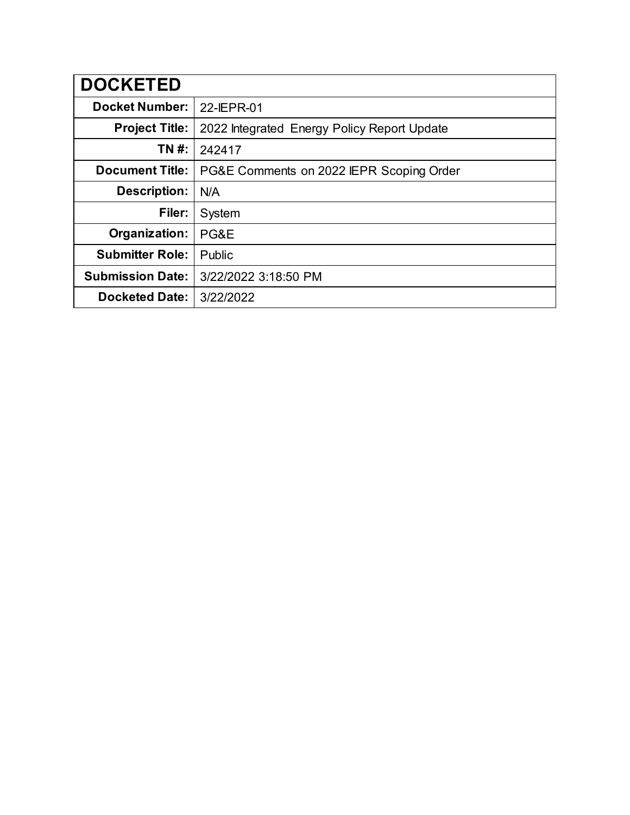| <b>DOCKETED</b>         |                                             |
|-------------------------|---------------------------------------------|
| <b>Docket Number:</b>   | 22-IEPR-01                                  |
| <b>Project Title:</b>   | 2022 Integrated Energy Policy Report Update |
| TN #:                   | 242417                                      |
| <b>Document Title:</b>  | PG&E Comments on 2022 IEPR Scoping Order    |
| Description:            | N/A                                         |
| Filer:                  | System                                      |
| Organization:           | PG&E                                        |
| <b>Submitter Role:</b>  | Public                                      |
| <b>Submission Date:</b> | 3/22/2022 3:18:50 PM                        |
| <b>Docketed Date:</b>   | 3/22/2022                                   |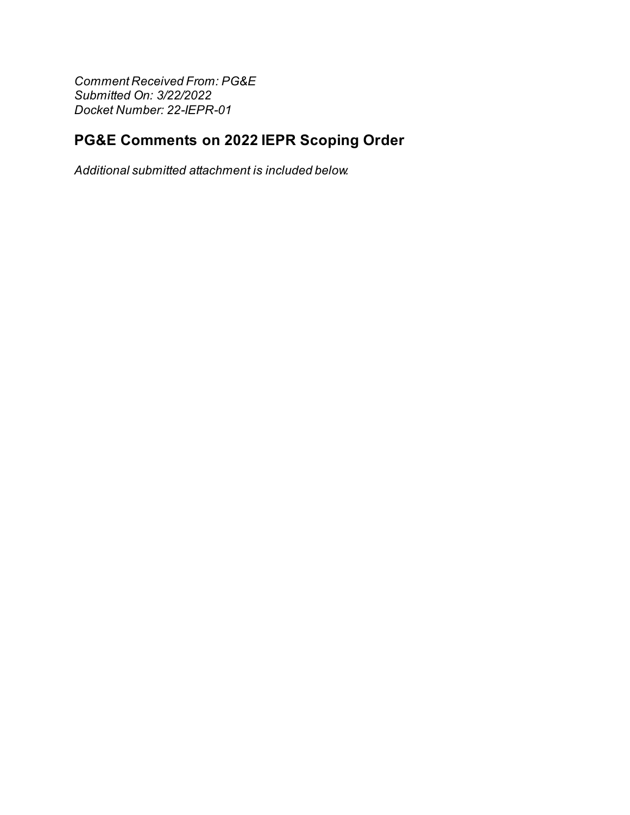**Comment Received From: PG&E** Submitted On: 3/22/2022 Docket Number: 22-IEPR-01

## PG&E Comments on 2022 IEPR Scoping Order

Additional submitted attachment is included below.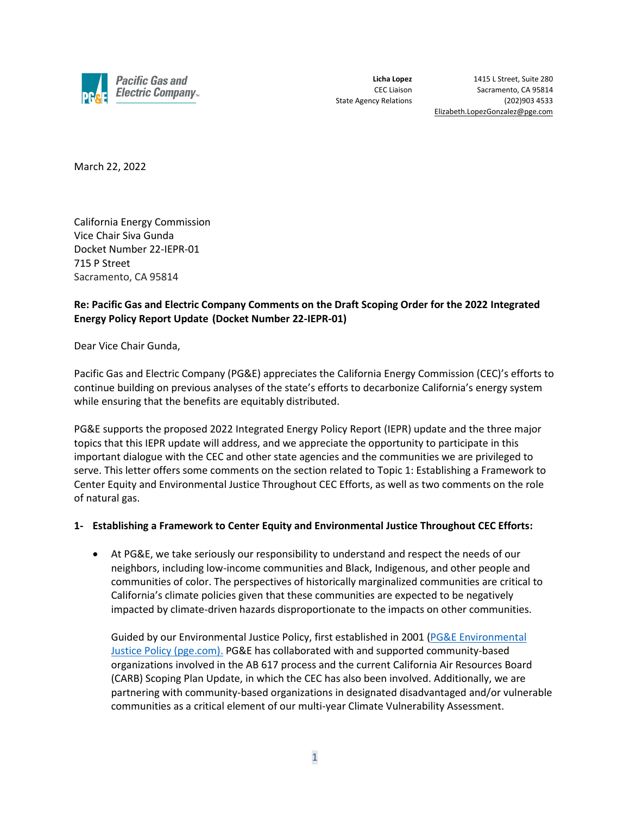

**Licha Lopez** 1415 L Street, Suite 280 CEC Liaison Sacramento, CA 95814 State Agency Relations (202)903 4533 Elizabeth.LopezGonzalez@pge.com

March 22, 2022

California Energy Commission Vice Chair Siva Gunda Docket Number 22-IEPR-01 715 P Street Sacramento, CA 95814

## **Re: Pacific Gas and Electric Company Comments on the Draft Scoping Order for the 2022 Integrated Energy Policy Report Update (Docket Number 22-IEPR-01)**

Dear Vice Chair Gunda,

Pacific Gas and Electric Company (PG&E) appreciates the California Energy Commission (CEC)'s efforts to continue building on previous analyses of the state's efforts to decarbonize California's energy system while ensuring that the benefits are equitably distributed.

PG&E supports the proposed 2022 Integrated Energy Policy Report (IEPR) update and the three major topics that this IEPR update will address, and we appreciate the opportunity to participate in this important dialogue with the CEC and other state agencies and the communities we are privileged to serve. This letter offers some comments on the section related to Topic 1: Establishing a Framework to Center Equity and Environmental Justice Throughout CEC Efforts, as well as two comments on the role of natural gas.

## **1- Establishing a Framework to Center Equity and Environmental Justice Throughout CEC Efforts:**

• At PG&E, we take seriously our responsibility to understand and respect the needs of our neighbors, including low-income communities and Black, Indigenous, and other people and communities of color. The perspectives of historically marginalized communities are critical to California's climate policies given that these communities are expected to be negatively impacted by climate-driven hazards disproportionate to the impacts on other communities.

Guided by our Environmental Justice Policy, first established in 2001 [\(PG&E Environmental](https://www.pge.com/includes/docs/pdfs/about/environment/pge_ej_policy.pdf)  [Justice Policy \(pge.com\).](https://www.pge.com/includes/docs/pdfs/about/environment/pge_ej_policy.pdf) PG&E has collaborated with and supported community-based organizations involved in the AB 617 process and the current California Air Resources Board (CARB) Scoping Plan Update, in which the CEC has also been involved. Additionally, we are partnering with community-based organizations in designated disadvantaged and/or vulnerable communities as a critical element of our multi-year Climate Vulnerability Assessment.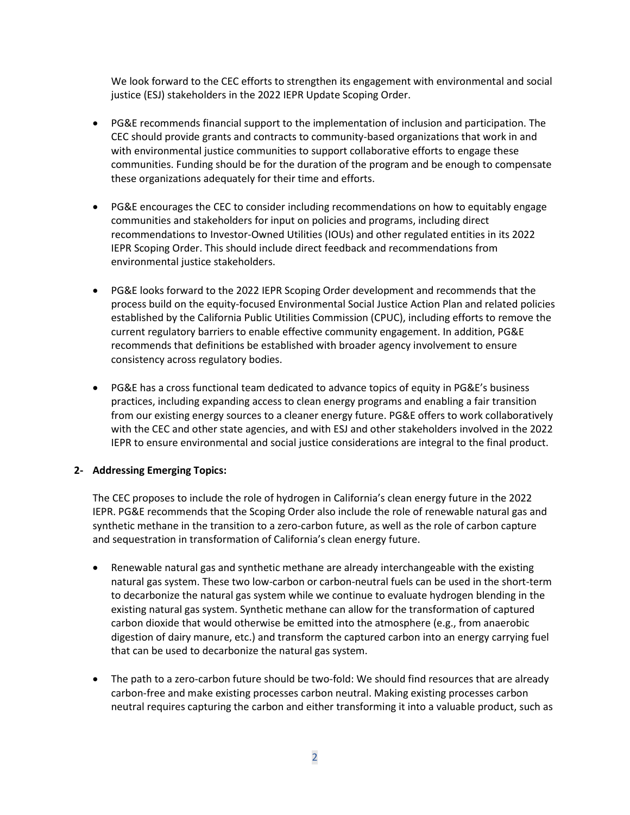We look forward to the CEC efforts to strengthen its engagement with environmental and social justice (ESJ) stakeholders in the 2022 IEPR Update Scoping Order.

- PG&E recommends financial support to the implementation of inclusion and participation. The CEC should provide grants and contracts to community-based organizations that work in and with environmental justice communities to support collaborative efforts to engage these communities. Funding should be for the duration of the program and be enough to compensate these organizations adequately for their time and efforts.
- PG&E encourages the CEC to consider including recommendations on how to equitably engage communities and stakeholders for input on policies and programs, including direct recommendations to Investor-Owned Utilities (IOUs) and other regulated entities in its 2022 IEPR Scoping Order. This should include direct feedback and recommendations from environmental justice stakeholders.
- PG&E looks forward to the 2022 IEPR Scoping Order development and recommends that the process build on the equity-focused Environmental Social Justice Action Plan and related policies established by the California Public Utilities Commission (CPUC), including efforts to remove the current regulatory barriers to enable effective community engagement. In addition, PG&E recommends that definitions be established with broader agency involvement to ensure consistency across regulatory bodies.
- PG&E has a cross functional team dedicated to advance topics of equity in PG&E's business practices, including expanding access to clean energy programs and enabling a fair transition from our existing energy sources to a cleaner energy future. PG&E offers to work collaboratively with the CEC and other state agencies, and with ESJ and other stakeholders involved in the 2022 IEPR to ensure environmental and social justice considerations are integral to the final product.

## **2- Addressing Emerging Topics:**

The CEC proposes to include the role of hydrogen in California's clean energy future in the 2022 IEPR. PG&E recommends that the Scoping Order also include the role of renewable natural gas and synthetic methane in the transition to a zero-carbon future, as well as the role of carbon capture and sequestration in transformation of California's clean energy future.

- Renewable natural gas and synthetic methane are already interchangeable with the existing natural gas system. These two low-carbon or carbon-neutral fuels can be used in the short-term to decarbonize the natural gas system while we continue to evaluate hydrogen blending in the existing natural gas system. Synthetic methane can allow for the transformation of captured carbon dioxide that would otherwise be emitted into the atmosphere (e.g., from anaerobic digestion of dairy manure, etc.) and transform the captured carbon into an energy carrying fuel that can be used to decarbonize the natural gas system.
- The path to a zero-carbon future should be two-fold: We should find resources that are already carbon-free and make existing processes carbon neutral. Making existing processes carbon neutral requires capturing the carbon and either transforming it into a valuable product, such as